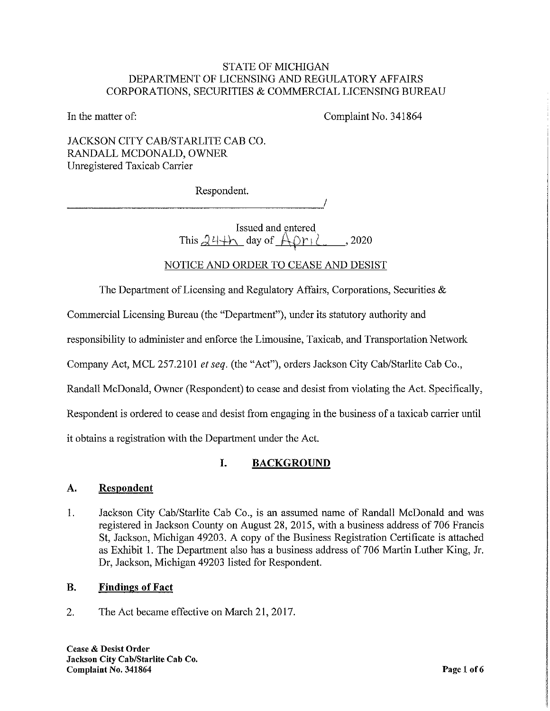#### STATE OF MICHIGAN DEPARTMENT OF LICENSING AND REGULATORY AFFAIRS CORPORATIONS, SECURITIES & COMMERCIAL LICENSING BUREAU

In the matter of: Complaint No. 341864

### JACKSON CITY CAB/STARLITE CAB CO. RANDALL MCDONALD, OWNER Unregistered Taxicab Carrier

Respondent.

Issued and entered This  $24+h$  day of  $Aprl$ , 2020

### NOTICE AND ORDER TO CEASE AND DESIST

The Department of Licensing and Regulatory Affairs, Corporations, Securities &

Commercial Licensing Bureau (the "Department"), under its statutory authority and

responsibility to administer and enforce the Limousine, Taxicab, and Transportation Network

Company Act, MCL 257.2101 et seq. (the "Act"), orders Jackson City Cab/Starlite Cab Co.,

Randall McDonald, Owner (Respondent) to cease and desist from violating the Act. Specifically,

Respondent is ordered to cease and desist from engaging in the business of a taxicab carrier until

it obtains a registration with the Department under the Act.

### I. BACKGROUND

### A. Respondent

1. Jackson City Cab/Starlite Cab Co., is an assumed name of Randall McDonald and was registered in Jackson County on August 28, 2015, with a business address of 706 Francis St, Jackson, Michigan 49203. A copy of the Business Registration Certificate is attached as Exhibit 1. The Department also has a business address of 706 Martin Luther King, Jr. Dr, Jackson, Michigan 49203 listed for Respondent.

#### B. Findings of Fact

2. The Act became effective on March 21, 2017.

Cease & Desist Order Jackson City Cab/Starlite Cab Co. Complaint No. 341864 Page 1 of 6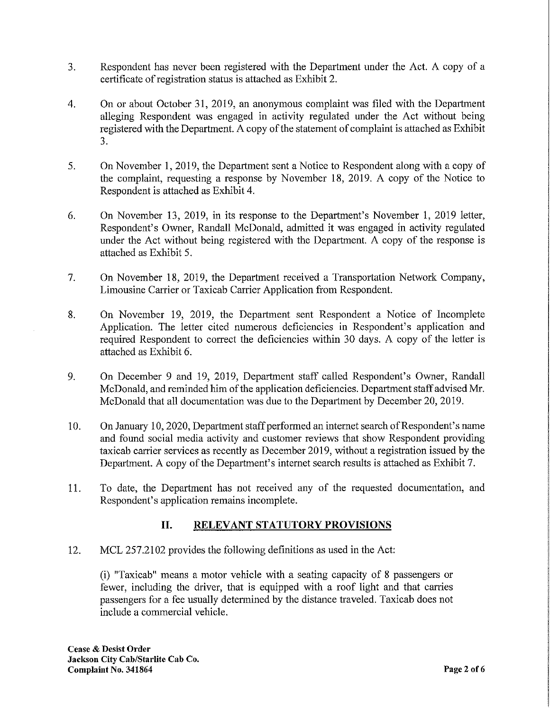- 3. Respondent has never been registered with the Department under the Act. A copy of a certificate of registration status is attached as Exhibit 2.
- 4. On or about October 31, 2019, an anonymous complaint was filed with the Department alleging Respondent was engaged in activity regulated under the Act without being registered with the Department. A copy of the statement of complaint is attached as Exhibit 3.
- 5. On November 1, 2019, the Department sent a Notice to Respondent along with a copy of the complaint, requesting a response by November 18, 2019. A copy of the Notice to Respondent is attached as Exhibit 4.
- 6. On November 13, 2019, in its response to the Department's November 1, 2019 letter, Respondent's Owner, Randall McDonald, admitted it was engaged in activity regulated under the Act without being registered with the Department. A copy of the response is attached as Exhibit 5.
- 7. On November 18, 2019, the Department received a Transportation Network Company, Limousine Carrier or Taxicab Carrier Application from Respondent.
- 8. On November 19, 2019, the Department sent Respondent a Notice of Incomplete Application. The letter cited numerous deficiencies in Respondent's application and required Respondent to correct the deficiencies within 30 days. A copy of the letter is attached as Exhibit 6.
- 9. On December 9 and 19, 2019, Department staff called Respondent's Owner, Randall McDonald, and reminded him of the application deficiencies. Department staff advised Mr. McDonald that all documentation was due to the Department by December 20, 2019.
- 10. On January 10, 2020, Department staff performed an internet search of Respondent's name and found social media activity and customer reviews that show Respondent providing taxicab carrier services as recently as December 2019, without a registration issued by the Department. A copy of the Department's intemet search results is attached as Exhibit 7.
- 11. To date, the Department has not received any of the requested documentation, and Respondent's application remains incomplete.

# II. RELEVANT STATUTORY PROVISIONS

12. MCL 257.2102 provides the following definitions as used in the Act:

(i) "Taxicab" means a motor vehicle with a seating capacity of 8 passengers or fewer, including the driver, that is equipped with a roof light and that carries passengers for a fee usually determined by the distance traveled. Taxicab does not include a commercial vehicle.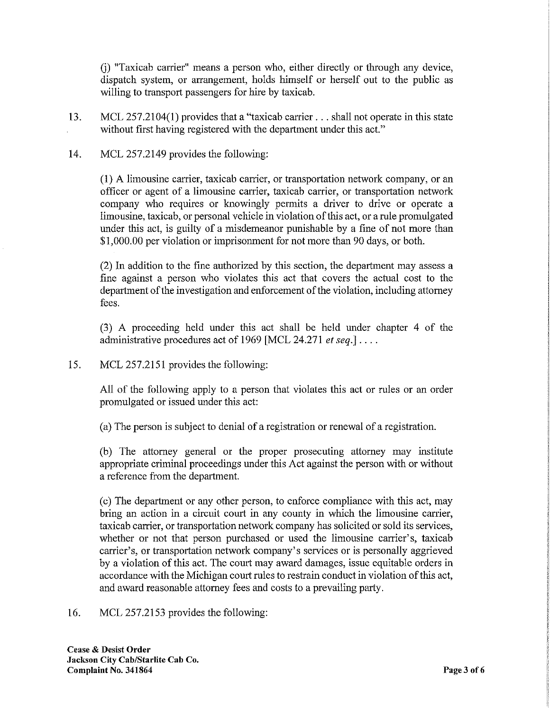(j) "Taxicab carrier" means a person who, either directly or through any device, dispatch system, or arrangement, holds himself or herself out to the public as willing to transport passengers for hire by taxicab.

- 13. MCL 257.2104(1) provides that a "taxicab carrier . . . shall not operate in this state without first having registered with the department under this act."
- 14. MCL 257.2149 provides the following:

(1) A limousine carrier, taxicab carrier, or transportation network company, or an officer or agent of a limousine carrier, taxicab carrier, or transportation network company who requires or knowingly permits a driver to drive or operate a limousine, taxicab, or personal vehicle in violation of this act, or a rule promulgated under this act, is guilty of a misdemeanor punishable by a fine of not more than \$1,000.00 per violation or imprisonment for not more than 90 days, or both.

(2) In addition to the fine authorized by this section, the department may assess a fine against a person who violates this act that covers the actual cost to the department of the investigation and enforcement of the violation, including attorney fees.

(3) A proceeding held under this act shall be held under chapter 4 of the administrative procedures act of 1969 [MCL 24.271 et seq.]  $\dots$ 

15. MCL 257.2151 provides the following:

All of the following apply to a person that violates this act or rules or an order promulgated or issued under this act:

(a) The person is subject to denial of a registration or renewal of a registration.

(b) The attorney general or the proper prosecuting attorney may institute appropriate criminal proceedings under this Act against the person with or without a reference from the department.

(c) The department or any other person, to enforce compliance with this act, may bring an action in a circuit court in any county in which the limousine carrier, taxicab carrier, or transportation network company has solicited or sold its services, whether or not that person purchased or used the limousine carrier's, taxicab carrier's, or transportation network company's services or is personally aggrieved by a violation of this act. The court may award damages, issue equitable orders in accordance with the Michigan court rules to restrain conduct in violation of this act, and award reasonable attorney fees and costs to a prevailing party.

16. MCL 257.2153 provides the following: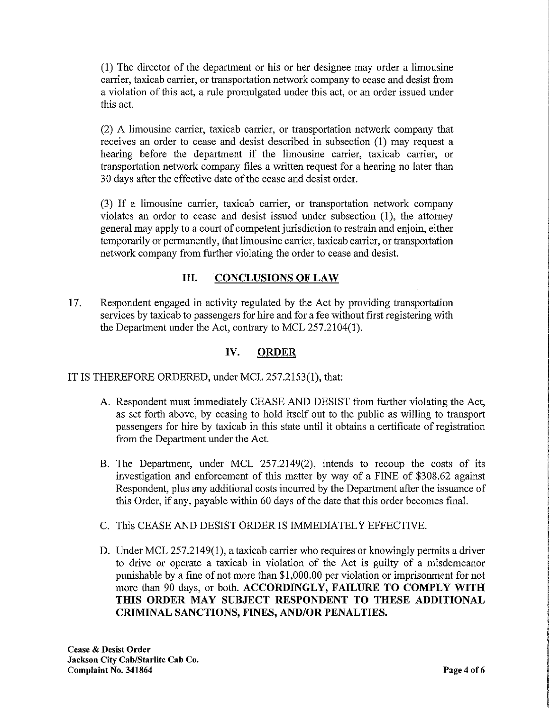(1) The director of the department or his or her designee may order a limousine carrier, taxicab carrier, or transportation network company to cease and desist from a violation of this act, a rule promulgated under this act, or an order issued under this act.

(2) A limousine carrier, taxicab carrier, or transportation network company that receives an order to cease and desist described in subsection (1) may request a hearing before the department if the limousine carrier, taxicab carrier, or transportation network company files a written request for a hearing no later than 30 days after the effective date of the cease and desist order.

(3) If a limousine carrier, taxicab carrier, or transportation network company violates an order to cease and desist issued under subsection (1), the attorney general may apply to a court of competent jurisdiction to restrain and enjoin, either temporarily or permanently, that limousine carrier, taxicab carrier, or transportation network company from further violating the order to cease and desist.

### III. CONCLUSIONS OF LAW

17. Respondent engaged in activity regulated by the Act by providing transportation services by taxicab to passengers for hire and for a fee without first registering with the Department under the Act, contrary to MCL 257.2104(1).

# IV. ORDER

IT IS THEREFORE ORDERED, under MCL 257.2153(1), that:

- A. Respondent must immediately CEASE AND DESIST from further violating the Act, as set forth above, by ceasing to hold itself out to the public as willing to transport passengers for hire by taxicab in this state until it obtains a certificate of registration from the Department under the Act.
- B. The Department, under MCL 257.2149(2), intends to recoup the costs of its investigation and enforcement of this matter by way of a FINE of \$308.62 against Respondent, plus any additional costs incurred by the Department after the issuance of this Order, if any, payable within 60 days of the date that this order becomes final.
- C. This CEASE AND DESIST ORDER IS IMMEDIATELY EFFECTIVE.
- D. Under MCL 257.2149(1), a taxicab carrier who requires or knowingly permits a driver to drive or operate a taxicab in violation of the Act is guilty of a misdemeanor punishable by a fine of not more than \$1,000.00 per violation or imprisonment for not more than 90 days, or both. ACCORDINGLY, FAILURE TO COMPLY WITH THIS ORDER MAY SUBJECT RESPONDENT TO THESE ADDITIONAL CRIMINAL SANCTIONS, FINES, AND/OR PENALTIES.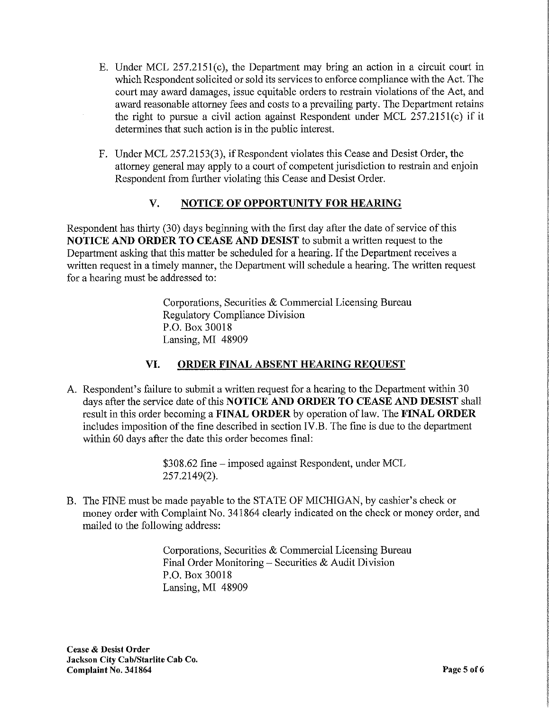- E. Under MCL 257.2151(c), the Department may bring an action in a circuit court in which Respondent solicited or sold its services to enforce compliance with the Act. The court may award damages, issue equitable orders to restrain violations of the Act, and award reasonable attorney fees and costs to a prevailing party. The Department retains the right to pursue a civil action against Respondent under MCL 257.2151(c) if it determines that such action is in the public interest.
- F. Under MCL 257.2153(3), if Respondent violates this Cease and Desist Order, the attorney general may apply to a court of competent jurisdiction to restrain and enjoin Respondent from further violating this Cease and Desist Order.

# V. NOTICE OF OPPORTUNITY FOR HEARING

Respondent has thirty (30) days beginning with the first day after the date of service of this NOTICE AND ORDER TO CEASE AND DESIST to submit a written request to the Department asking that this matter be scheduled for a hearing. If the Department receives a written request in a timely manner, the Department will schedule a hearing. The written request for a hearing must be addressed to:

> Corporations, Securities & Commercial Licensing Bureau Regulatory Compliance Division P.O. Box 30018 Lansing, MI 48909

### VI. ORDER FINAL ABSENT HEARING REQUEST

A. Respondent's failure to submit a written request for a hearing to the Department within 30 days after the service date of this NOTICE AND ORDER TO CEASE AND DESIST shall result in this order becoming a FINAL ORDER by operation of law. The FINAL ORDER includes imposition of the fine described in section IV.B. The fine is due to the department within 60 days after the date this order becomes final:

> \$308.62 fine — imposed against Respondent, under MCL 257.2149(2).

B. The FINE must be made payable to the STATE OF MICHIGAN, by cashier's check or money order with Complaint No. 341864 clearly indicated on the check or money order, and mailed to the following address:

> Corporations, Securities & Commercial Licensing Bureau Final Order Monitoring – Securities  $\&$  Audit Division P.O. Box 30018 Lansing, MI 48909